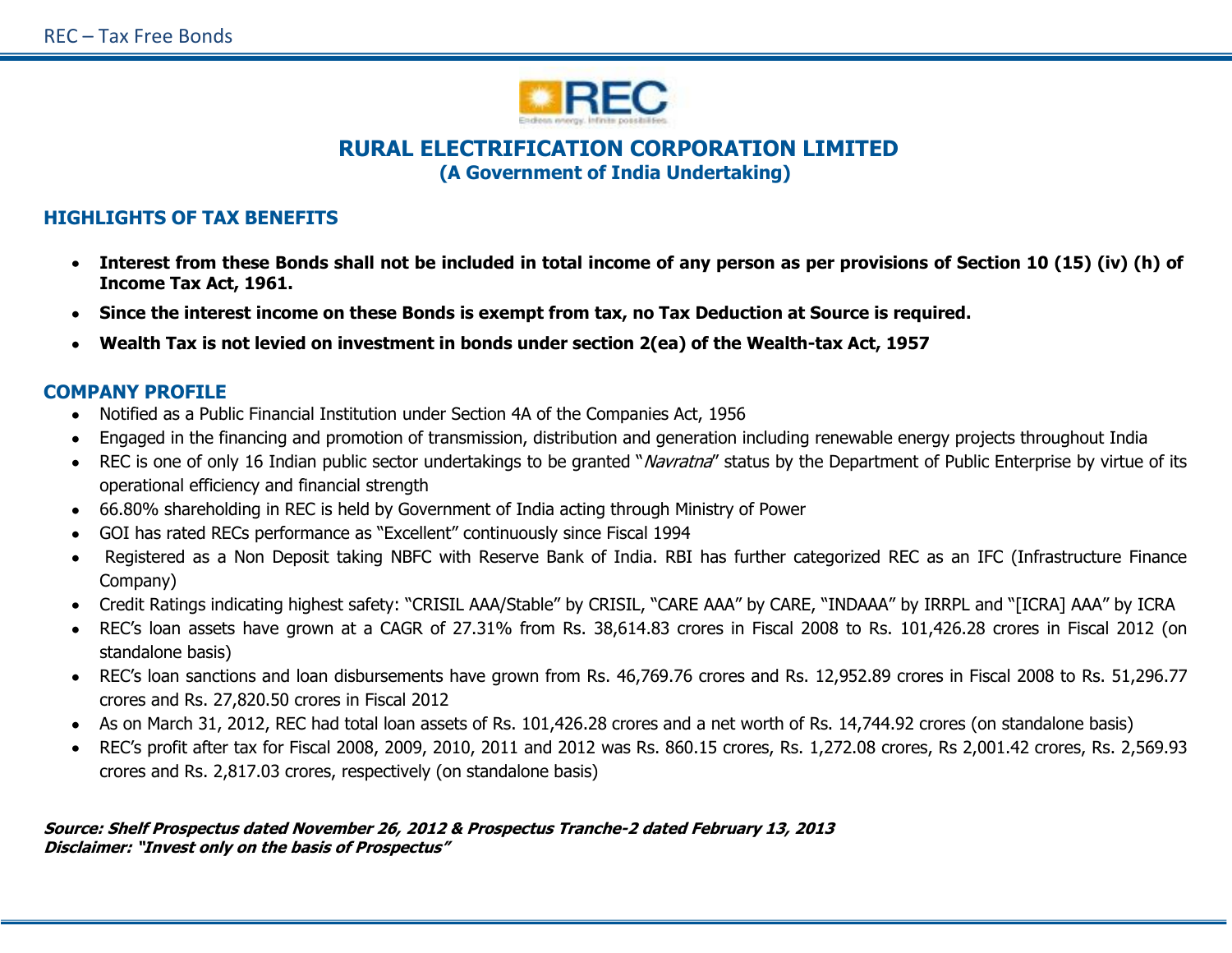

# **RURAL ELECTRIFICATION CORPORATION LIMITED (A Government of India Undertaking)**

## **HIGHLIGHTS OF TAX BENEFITS**

- **Interest from these Bonds shall not be included in total income of any person as per provisions of Section 10 (15) (iv) (h) of Income Tax Act, 1961.**
- **Since the interest income on these Bonds is exempt from tax, no Tax Deduction at Source is required.**
- **Wealth Tax is not levied on investment in bonds under section 2(ea) of the Wealth-tax Act, 1957**

## **COMPANY PROFILE**

- Notified as a Public Financial Institution under Section 4A of the Companies Act, 1956
- Engaged in the financing and promotion of transmission, distribution and generation including renewable energy projects throughout India
- REC is one of only 16 Indian public sector undertakings to be granted "*Navratna*" status by the Department of Public Enterprise by virtue of its operational efficiency and financial strength
- 66.80% shareholding in REC is held by Government of India acting through Ministry of Power
- GOI has rated RECs performance as "Excellent" continuously since Fiscal 1994
- Registered as a Non Deposit taking NBFC with Reserve Bank of India. RBI has further categorized REC as an IFC (Infrastructure Finance Company)
- Credit Ratings indicating highest safety: "CRISIL AAA/Stable" by CRISIL, "CARE AAA" by CARE, "INDAAA" by IRRPL and "[ICRA] AAA" by ICRA
- REC's loan assets have grown at a CAGR of 27.31% from Rs. 38,614.83 crores in Fiscal 2008 to Rs. 101,426.28 crores in Fiscal 2012 (on standalone basis)
- REC's loan sanctions and loan disbursements have grown from Rs. 46,769.76 crores and Rs. 12,952.89 crores in Fiscal 2008 to Rs. 51,296.77 crores and Rs. 27,820.50 crores in Fiscal 2012
- As on March 31, 2012, REC had total loan assets of Rs. 101,426.28 crores and a net worth of Rs. 14,744.92 crores (on standalone basis)
- REC's profit after tax for Fiscal 2008, 2009, 2010, 2011 and 2012 was Rs. 860.15 crores, Rs. 1,272.08 crores, Rs 2,001.42 crores, Rs. 2,569.93 crores and Rs. 2,817.03 crores, respectively (on standalone basis)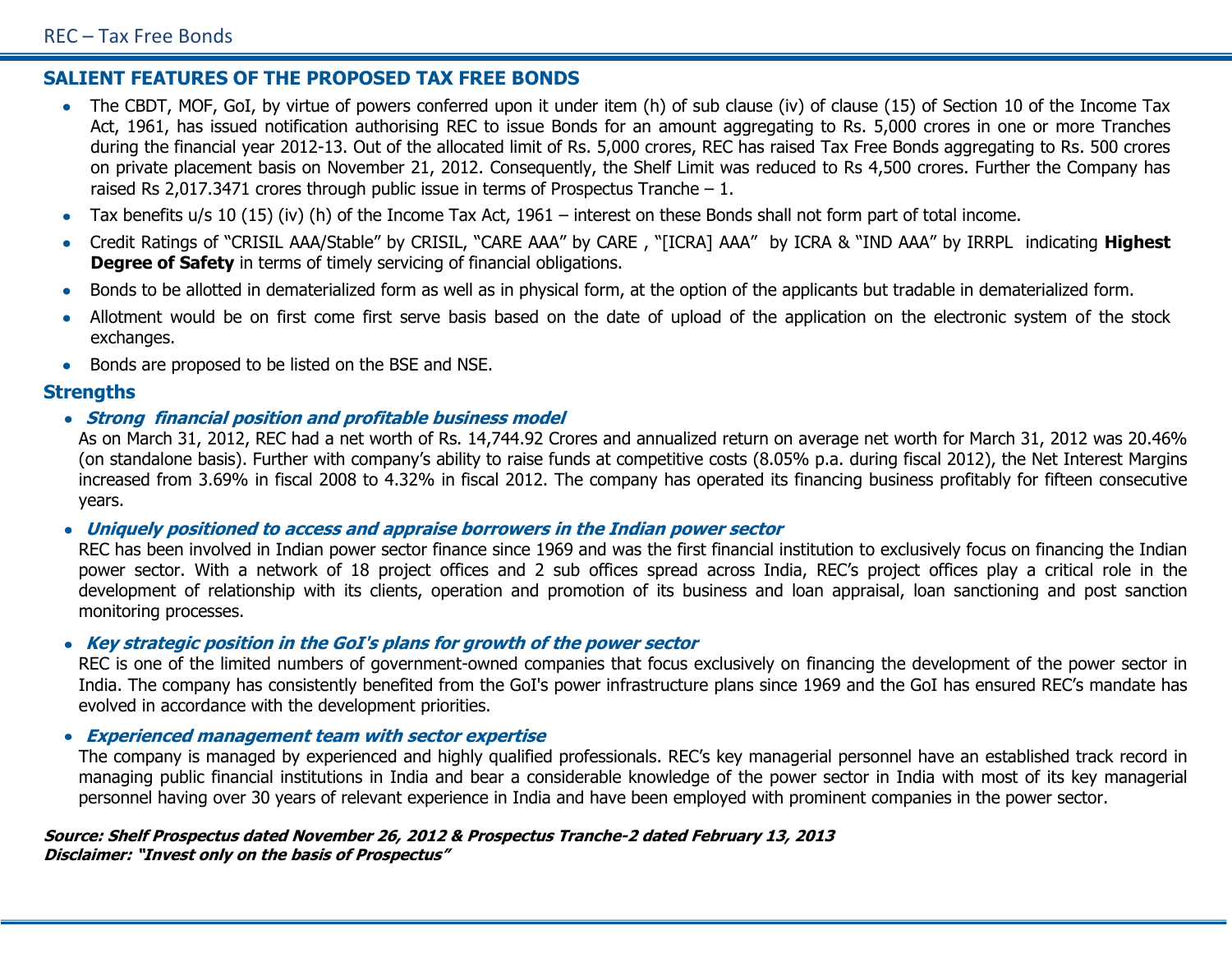# **SALIENT FEATURES OF THE PROPOSED TAX FREE BONDS**

- The CBDT, MOF, GoI, by virtue of powers conferred upon it under item (h) of sub clause (iv) of clause (15) of Section 10 of the Income Tax Act, 1961, has issued notification authorising REC to issue Bonds for an amount aggregating to Rs. 5,000 crores in one or more Tranches during the financial year 2012-13. Out of the allocated limit of Rs. 5,000 crores, REC has raised Tax Free Bonds aggregating to Rs. 500 crores on private placement basis on November 21, 2012. Consequently, the Shelf Limit was reduced to Rs 4,500 crores. Further the Company has raised Rs 2,017.3471 crores through public issue in terms of Prospectus Tranche  $-1$ .
- Tax benefits u/s 10 (15) (iv) (h) of the Income Tax Act, 1961 interest on these Bonds shall not form part of total income.
- Credit Ratings of "CRISIL AAA/Stable" by CRISIL, "CARE AAA" by CARE , "[ICRA] AAA" by ICRA & "IND AAA" by IRRPL indicating **Highest Degree of Safety** in terms of timely servicing of financial obligations.
- Bonds to be allotted in dematerialized form as well as in physical form, at the option of the applicants but tradable in dematerialized form.  $\bullet$
- Allotment would be on first come first serve basis based on the date of upload of the application on the electronic system of the stock exchanges.
- Bonds are proposed to be listed on the BSE and NSE.  $\bullet$

## **Strengths**

**Strong financial position and profitable business model**

As on March 31, 2012, REC had a net worth of Rs. 14,744.92 Crores and annualized return on average net worth for March 31, 2012 was 20.46% (on standalone basis). Further with company's ability to raise funds at competitive costs (8.05% p.a. during fiscal 2012), the Net Interest Margins increased from 3.69% in fiscal 2008 to 4.32% in fiscal 2012. The company has operated its financing business profitably for fifteen consecutive years.

### **Uniquely positioned to access and appraise borrowers in the Indian power sector**

REC has been involved in Indian power sector finance since 1969 and was the first financial institution to exclusively focus on financing the Indian power sector. With a network of 18 project offices and 2 sub offices spread across India, REC's project offices play a critical role in the development of relationship with its clients, operation and promotion of its business and loan appraisal, loan sanctioning and post sanction monitoring processes.

### **Key strategic position in the GoI's plans for growth of the power sector**

REC is one of the limited numbers of government-owned companies that focus exclusively on financing the development of the power sector in India. The company has consistently benefited from the GoI's power infrastructure plans since 1969 and the GoI has ensured REC's mandate has evolved in accordance with the development priorities.

### **Experienced management team with sector expertise**

The company is managed by experienced and highly qualified professionals. REC's key managerial personnel have an established track record in managing public financial institutions in India and bear a considerable knowledge of the power sector in India with most of its key managerial personnel having over 30 years of relevant experience in India and have been employed with prominent companies in the power sector.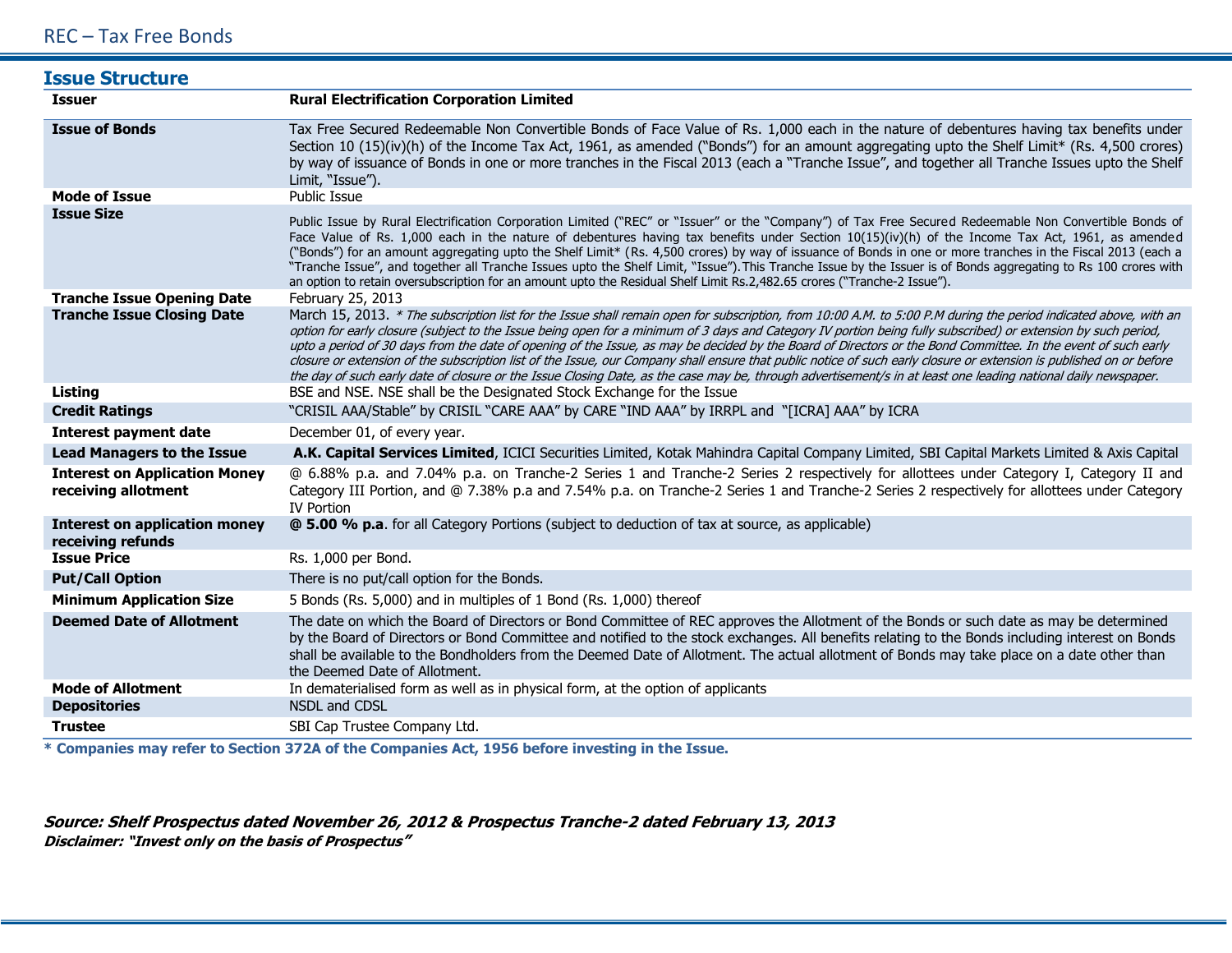## REC – Tax Free Bonds

| <b>Issue Structure</b>                                      |                                                                                                                                                                                                                                                                                                                                                                                                                                                                                                                                                                                                                                                                                                                                                                                                                                               |
|-------------------------------------------------------------|-----------------------------------------------------------------------------------------------------------------------------------------------------------------------------------------------------------------------------------------------------------------------------------------------------------------------------------------------------------------------------------------------------------------------------------------------------------------------------------------------------------------------------------------------------------------------------------------------------------------------------------------------------------------------------------------------------------------------------------------------------------------------------------------------------------------------------------------------|
| <b>Issuer</b>                                               | <b>Rural Electrification Corporation Limited</b>                                                                                                                                                                                                                                                                                                                                                                                                                                                                                                                                                                                                                                                                                                                                                                                              |
| <b>Issue of Bonds</b>                                       | Tax Free Secured Redeemable Non Convertible Bonds of Face Value of Rs. 1,000 each in the nature of debentures having tax benefits under<br>Section 10 (15)(iv)(h) of the Income Tax Act, 1961, as amended ("Bonds") for an amount aggregating upto the Shelf Limit* (Rs. 4,500 crores)<br>by way of issuance of Bonds in one or more tranches in the Fiscal 2013 (each a "Tranche Issue", and together all Tranche Issues upto the Shelf<br>Limit, "Issue").                                                                                                                                                                                                                                                                                                                                                                                  |
| <b>Mode of Issue</b>                                        | <b>Public Issue</b>                                                                                                                                                                                                                                                                                                                                                                                                                                                                                                                                                                                                                                                                                                                                                                                                                           |
| <b>Issue Size</b>                                           | Public Issue by Rural Electrification Corporation Limited ("REC" or "Issuer" or the "Company") of Tax Free Secured Redeemable Non Convertible Bonds of<br>Face Value of Rs. 1,000 each in the nature of debentures having tax benefits under Section 10(15)(iv)(h) of the Income Tax Act, 1961, as amended<br>("Bonds") for an amount aggregating upto the Shelf Limit* (Rs. 4,500 crores) by way of issuance of Bonds in one or more tranches in the Fiscal 2013 (each a<br>"Tranche Issue", and together all Tranche Issues upto the Shelf Limit, "Issue"). This Tranche Issue by the Issuer is of Bonds aggregating to Rs 100 crores with<br>an option to retain oversubscription for an amount upto the Residual Shelf Limit Rs.2,482.65 crores ("Tranche-2 Issue").                                                                      |
| <b>Tranche Issue Opening Date</b>                           | February 25, 2013                                                                                                                                                                                                                                                                                                                                                                                                                                                                                                                                                                                                                                                                                                                                                                                                                             |
| <b>Tranche Issue Closing Date</b>                           | March 15, 2013. * The subscription list for the Issue shall remain open for subscription, from 10:00 A.M. to 5:00 P.M during the period indicated above, with an<br>option for early closure (subject to the Issue being open for a minimum of 3 days and Category IV portion being fully subscribed) or extension by such period,<br>upto a period of 30 days from the date of opening of the Issue, as may be decided by the Board of Directors or the Bond Committee. In the event of such early<br>closure or extension of the subscription list of the Issue, our Company shall ensure that public notice of such early closure or extension is published on or before<br>the day of such early date of closure or the Issue Closing Date, as the case may be, through advertisement/s in at least one leading national daily newspaper. |
| <b>Listing</b>                                              | BSE and NSE. NSE shall be the Designated Stock Exchange for the Issue                                                                                                                                                                                                                                                                                                                                                                                                                                                                                                                                                                                                                                                                                                                                                                         |
| <b>Credit Ratings</b>                                       | "CRISIL AAA/Stable" by CRISIL "CARE AAA" by CARE "IND AAA" by IRRPL and "[ICRA] AAA" by ICRA                                                                                                                                                                                                                                                                                                                                                                                                                                                                                                                                                                                                                                                                                                                                                  |
| <b>Interest payment date</b>                                | December 01, of every year.                                                                                                                                                                                                                                                                                                                                                                                                                                                                                                                                                                                                                                                                                                                                                                                                                   |
| <b>Lead Managers to the Issue</b>                           | A.K. Capital Services Limited, ICICI Securities Limited, Kotak Mahindra Capital Company Limited, SBI Capital Markets Limited & Axis Capital                                                                                                                                                                                                                                                                                                                                                                                                                                                                                                                                                                                                                                                                                                   |
| <b>Interest on Application Money</b><br>receiving allotment | @ 6.88% p.a. and 7.04% p.a. on Tranche-2 Series 1 and Tranche-2 Series 2 respectively for allottees under Category I, Category II and<br>Category III Portion, and @ 7.38% p.a and 7.54% p.a. on Tranche-2 Series 1 and Tranche-2 Series 2 respectively for allottees under Category<br><b>IV Portion</b>                                                                                                                                                                                                                                                                                                                                                                                                                                                                                                                                     |
| <b>Interest on application money</b><br>receiving refunds   | <b>@ 5.00 % p.a.</b> for all Category Portions (subject to deduction of tax at source, as applicable)                                                                                                                                                                                                                                                                                                                                                                                                                                                                                                                                                                                                                                                                                                                                         |
| <b>Issue Price</b>                                          | Rs. 1,000 per Bond.                                                                                                                                                                                                                                                                                                                                                                                                                                                                                                                                                                                                                                                                                                                                                                                                                           |
| <b>Put/Call Option</b>                                      | There is no put/call option for the Bonds.                                                                                                                                                                                                                                                                                                                                                                                                                                                                                                                                                                                                                                                                                                                                                                                                    |
| <b>Minimum Application Size</b>                             | 5 Bonds (Rs. 5,000) and in multiples of 1 Bond (Rs. 1,000) thereof                                                                                                                                                                                                                                                                                                                                                                                                                                                                                                                                                                                                                                                                                                                                                                            |
| <b>Deemed Date of Allotment</b>                             | The date on which the Board of Directors or Bond Committee of REC approves the Allotment of the Bonds or such date as may be determined<br>by the Board of Directors or Bond Committee and notified to the stock exchanges. All benefits relating to the Bonds including interest on Bonds<br>shall be available to the Bondholders from the Deemed Date of Allotment. The actual allotment of Bonds may take place on a date other than<br>the Deemed Date of Allotment.                                                                                                                                                                                                                                                                                                                                                                     |
| <b>Mode of Allotment</b>                                    | In dematerialised form as well as in physical form, at the option of applicants                                                                                                                                                                                                                                                                                                                                                                                                                                                                                                                                                                                                                                                                                                                                                               |
| <b>Depositories</b>                                         | NSDL and CDSL                                                                                                                                                                                                                                                                                                                                                                                                                                                                                                                                                                                                                                                                                                                                                                                                                                 |
| <b>Trustee</b>                                              | SBI Cap Trustee Company Ltd.                                                                                                                                                                                                                                                                                                                                                                                                                                                                                                                                                                                                                                                                                                                                                                                                                  |

**\* Companies may refer to Section 372A of the Companies Act, 1956 before investing in the Issue.**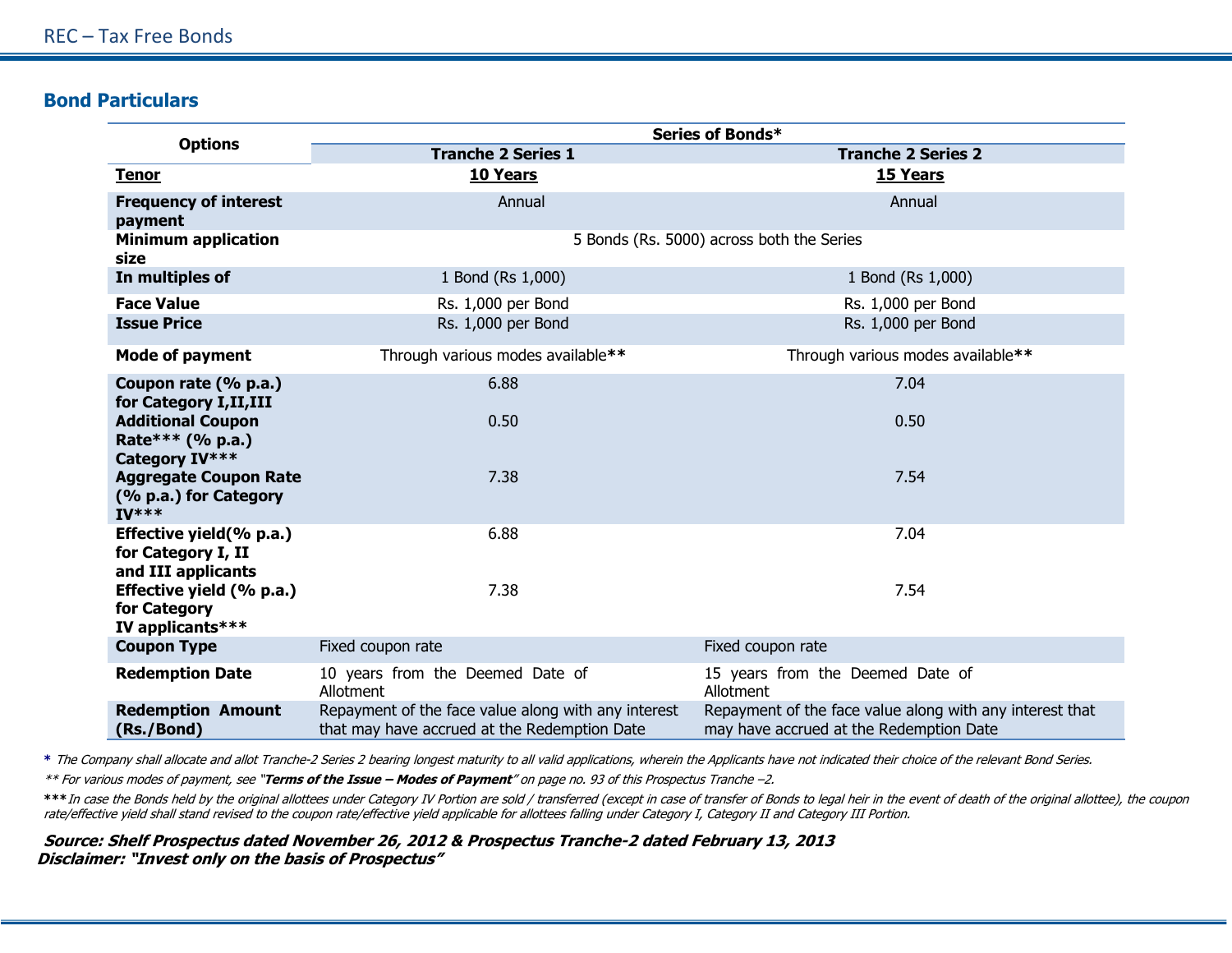## **Bond Particulars**

|                                                                         | Series of Bonds*                                                                                    |                                                                                                     |  |  |
|-------------------------------------------------------------------------|-----------------------------------------------------------------------------------------------------|-----------------------------------------------------------------------------------------------------|--|--|
| <b>Options</b>                                                          | <b>Tranche 2 Series 1</b>                                                                           | <b>Tranche 2 Series 2</b>                                                                           |  |  |
| <b>Tenor</b>                                                            | 10 Years                                                                                            | 15 Years                                                                                            |  |  |
| <b>Frequency of interest</b><br>payment                                 | Annual                                                                                              | Annual                                                                                              |  |  |
| <b>Minimum application</b><br>size                                      | 5 Bonds (Rs. 5000) across both the Series                                                           |                                                                                                     |  |  |
| In multiples of                                                         | 1 Bond (Rs 1,000)                                                                                   | 1 Bond (Rs 1,000)                                                                                   |  |  |
| <b>Face Value</b><br><b>Issue Price</b>                                 | Rs. 1,000 per Bond<br>Rs. 1,000 per Bond                                                            | Rs. 1,000 per Bond<br>Rs. 1,000 per Bond                                                            |  |  |
| <b>Mode of payment</b>                                                  | Through various modes available**                                                                   | Through various modes available**                                                                   |  |  |
| Coupon rate (% p.a.)<br>for Category I, II, III                         | 6.88                                                                                                | 7.04                                                                                                |  |  |
| <b>Additional Coupon</b><br>Rate*** $(% p.a.)$<br><b>Category IV***</b> | 0.50                                                                                                | 0.50                                                                                                |  |  |
| <b>Aggregate Coupon Rate</b><br>(% p.a.) for Category<br>$IV***$        | 7.38                                                                                                | 7.54                                                                                                |  |  |
| Effective yield(% p.a.)<br>for Category I, II<br>and III applicants     | 6.88                                                                                                | 7.04                                                                                                |  |  |
| Effective yield (% p.a.)<br>for Category<br>IV applicants***            | 7.38                                                                                                | 7.54                                                                                                |  |  |
| <b>Coupon Type</b>                                                      | Fixed coupon rate                                                                                   | Fixed coupon rate                                                                                   |  |  |
| <b>Redemption Date</b>                                                  | 10 years from the Deemed Date of<br>Allotment                                                       | 15 years from the Deemed Date of<br>Allotment                                                       |  |  |
| <b>Redemption Amount</b><br>(Rs./Bond)                                  | Repayment of the face value along with any interest<br>that may have accrued at the Redemption Date | Repayment of the face value along with any interest that<br>may have accrued at the Redemption Date |  |  |

**\*** The Company shall allocate and allot Tranche-2 Series 2 bearing longest maturity to all valid applications, wherein the Applicants have not indicated their choice of the relevant Bond Series.

\*\* For various modes of payment, see "**Terms of the Issue – Modes of Payment**" on page no. 93 of this Prospectus Tranche –2.

**\*\*\***In case the Bonds held by the original allottees under Category IV Portion are sold / transferred (except in case of transfer of Bonds to legal heir in the event of death of the original allottee), the coupon rate/effective yield shall stand revised to the coupon rate/effective yield applicable for allottees falling under Category I, Category II and Category III Portion.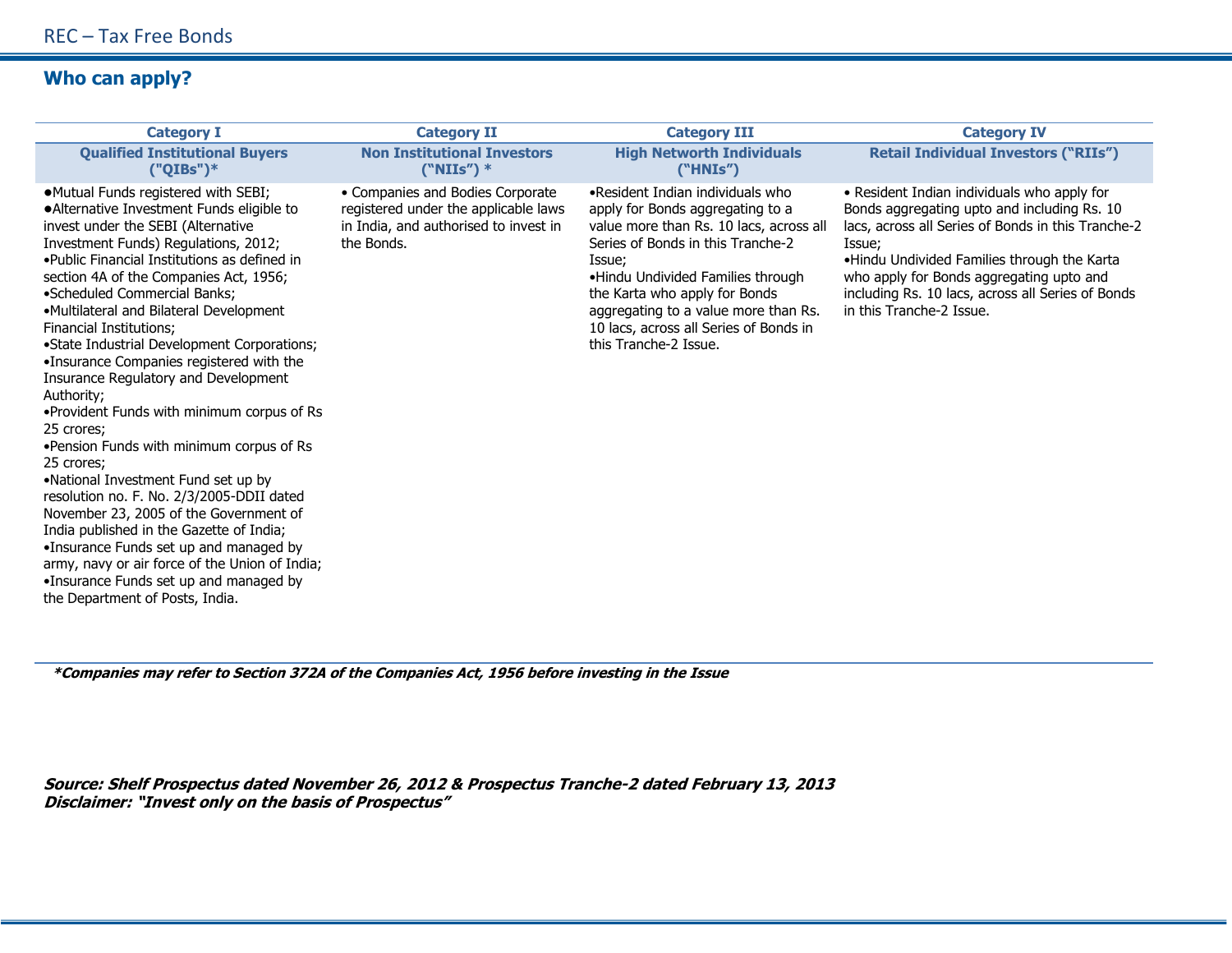## **Who can apply?**

| <b>Category I</b>                                                                                                                                                                                                                                                                                                                                                                                                                                                                                                                                                                                                                                                                                                                                                                                                                                                                                                                                                                                   | <b>Category II</b>                                                                                                              | <b>Category III</b>                                                                                                                                                                                                                                                                                                                             | <b>Category IV</b>                                                                                                                                                                                                                                                                                                                     |
|-----------------------------------------------------------------------------------------------------------------------------------------------------------------------------------------------------------------------------------------------------------------------------------------------------------------------------------------------------------------------------------------------------------------------------------------------------------------------------------------------------------------------------------------------------------------------------------------------------------------------------------------------------------------------------------------------------------------------------------------------------------------------------------------------------------------------------------------------------------------------------------------------------------------------------------------------------------------------------------------------------|---------------------------------------------------------------------------------------------------------------------------------|-------------------------------------------------------------------------------------------------------------------------------------------------------------------------------------------------------------------------------------------------------------------------------------------------------------------------------------------------|----------------------------------------------------------------------------------------------------------------------------------------------------------------------------------------------------------------------------------------------------------------------------------------------------------------------------------------|
| <b>Qualified Institutional Buyers</b><br>$("QIBs")^*$                                                                                                                                                                                                                                                                                                                                                                                                                                                                                                                                                                                                                                                                                                                                                                                                                                                                                                                                               | <b>Non Institutional Investors</b><br>$("NIIs")$ *                                                                              | <b>High Networth Individuals</b><br>("H N Is")                                                                                                                                                                                                                                                                                                  | <b>Retail Individual Investors ("RIIs")</b>                                                                                                                                                                                                                                                                                            |
| •Mutual Funds registered with SEBI;<br>• Alternative Investment Funds eligible to<br>invest under the SEBI (Alternative<br>Investment Funds) Regulations, 2012;<br>. Public Financial Institutions as defined in<br>section 4A of the Companies Act, 1956;<br>•Scheduled Commercial Banks;<br>•Multilateral and Bilateral Development<br><b>Financial Institutions:</b><br>•State Industrial Development Corporations;<br>•Insurance Companies registered with the<br>Insurance Regulatory and Development<br>Authority;<br>. Provident Funds with minimum corpus of Rs<br>25 crores;<br>. Pension Funds with minimum corpus of Rs<br>25 crores;<br>•National Investment Fund set up by<br>resolution no. F. No. 2/3/2005-DDII dated<br>November 23, 2005 of the Government of<br>India published in the Gazette of India;<br>•Insurance Funds set up and managed by<br>army, navy or air force of the Union of India;<br>•Insurance Funds set up and managed by<br>the Department of Posts, India. | • Companies and Bodies Corporate<br>registered under the applicable laws<br>in India, and authorised to invest in<br>the Bonds. | •Resident Indian individuals who<br>apply for Bonds aggregating to a<br>value more than Rs. 10 lacs, across all<br>Series of Bonds in this Tranche-2<br>Issue;<br>•Hindu Undivided Families through<br>the Karta who apply for Bonds<br>aggregating to a value more than Rs.<br>10 lacs, across all Series of Bonds in<br>this Tranche-2 Issue. | • Resident Indian individuals who apply for<br>Bonds aggregating upto and including Rs. 10<br>lacs, across all Series of Bonds in this Tranche-2<br>Issue;<br>.Hindu Undivided Families through the Karta<br>who apply for Bonds aggregating upto and<br>including Rs. 10 lacs, across all Series of Bonds<br>in this Tranche-2 Issue. |

 **\*Companies may refer to Section 372A of the Companies Act, 1956 before investing in the Issue**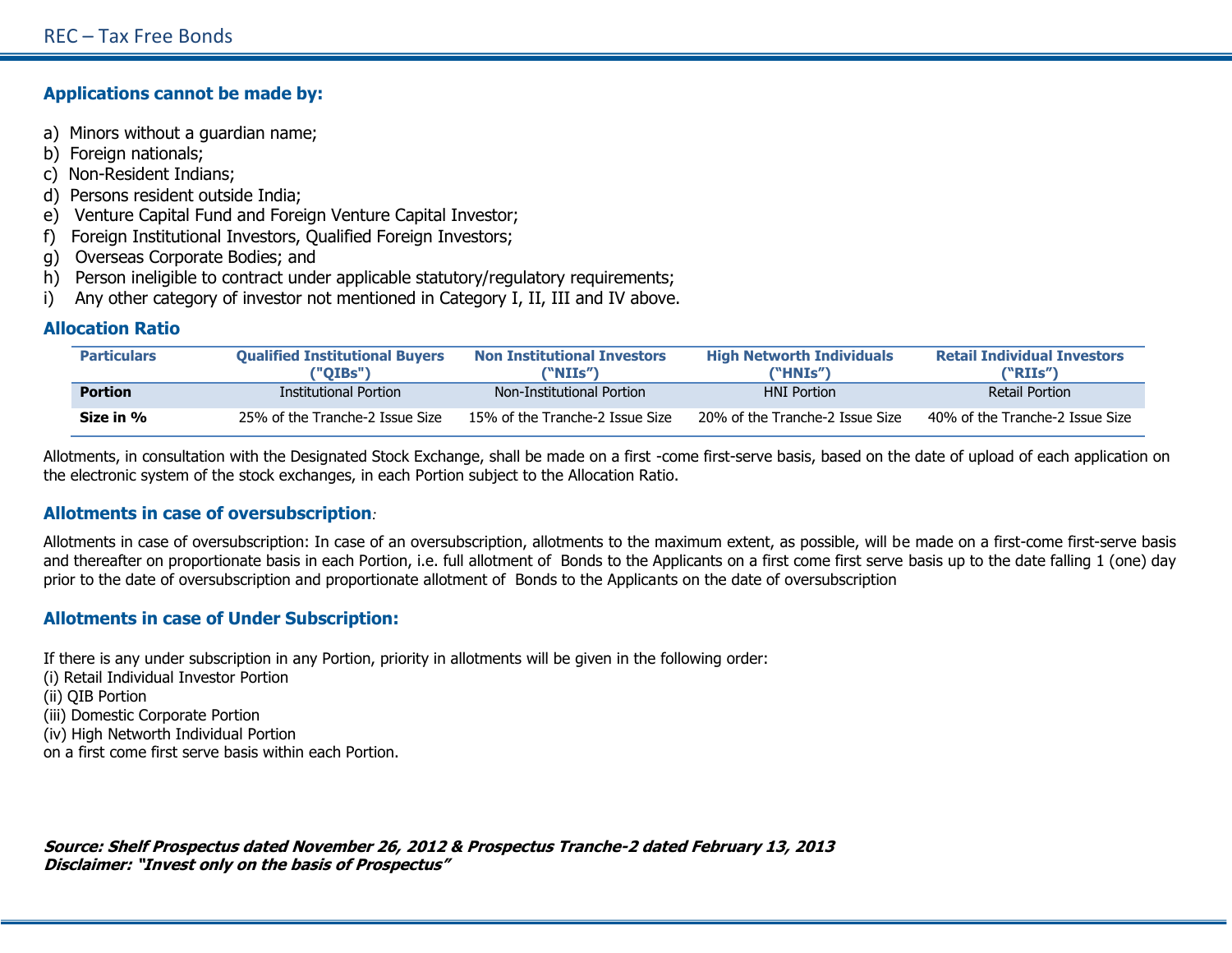### **Applications cannot be made by:**

- a) Minors without a guardian name;
- b) Foreign nationals;
- c) Non-Resident Indians;
- d) Persons resident outside India;
- e) Venture Capital Fund and Foreign Venture Capital Investor;
- f) Foreign Institutional Investors, Qualified Foreign Investors;
- g) Overseas Corporate Bodies; and
- h) Person ineligible to contract under applicable statutory/regulatory requirements;
- i) Any other category of investor not mentioned in Category I, II, III and IV above.

## **Allocation Ratio**

| <b>Particulars</b> | <b>Oualified Institutional Buvers</b><br>("OIBs") | <b>Non Institutional Investors</b><br>("NIIs") | <b>High Networth Individuals</b><br>("HNIs") | <b>Retail Individual Investors</b><br>("RIIs") |
|--------------------|---------------------------------------------------|------------------------------------------------|----------------------------------------------|------------------------------------------------|
| <b>Portion</b>     | <b>Institutional Portion</b>                      | Non-Institutional Portion                      | <b>HNI Portion</b>                           | Retail Portion                                 |
| Size in %          | 25% of the Tranche-2 Issue Size                   | 15% of the Tranche-2 Issue Size                | 20% of the Tranche-2 Issue Size              | 40% of the Tranche-2 Issue Size                |

Allotments, in consultation with the Designated Stock Exchange, shall be made on a first -come first-serve basis, based on the date of upload of each application on the electronic system of the stock exchanges, in each Portion subject to the Allocation Ratio.

### **Allotments in case of oversubscription***:*

Allotments in case of oversubscription: In case of an oversubscription, allotments to the maximum extent, as possible, will be made on a first-come first-serve basis and thereafter on proportionate basis in each Portion, i.e. full allotment of Bonds to the Applicants on a first come first serve basis up to the date falling 1 (one) day prior to the date of oversubscription and proportionate allotment of Bonds to the Applicants on the date of oversubscription

## **Allotments in case of Under Subscription:**

If there is any under subscription in any Portion, priority in allotments will be given in the following order:

- (i) Retail Individual Investor Portion
- (ii) QIB Portion
- (iii) Domestic Corporate Portion
- (iv) High Networth Individual Portion

on a first come first serve basis within each Portion.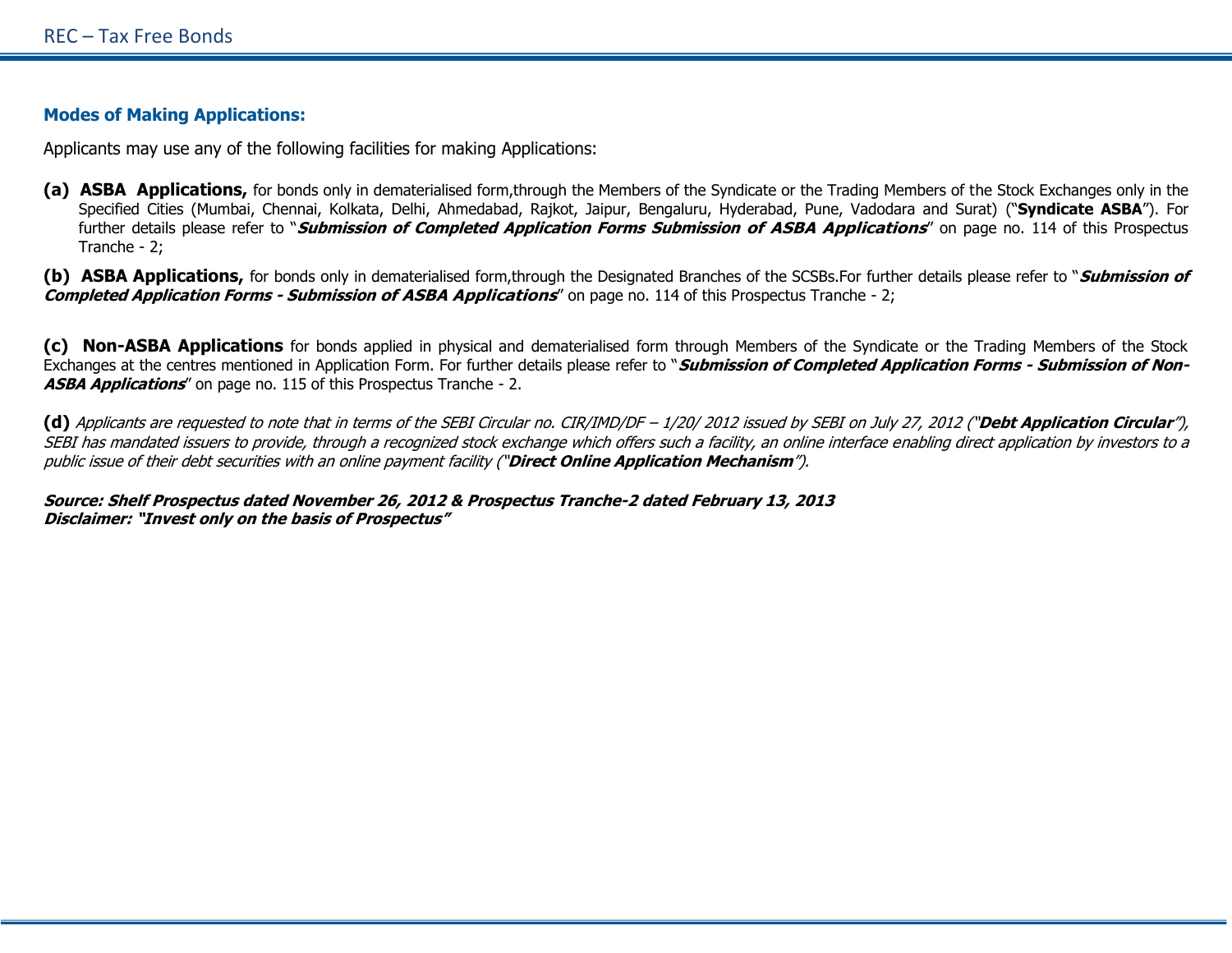### **Modes of Making Applications:**

Applicants may use any of the following facilities for making Applications:

**(a) ASBA Applications,** for bonds only in dematerialised form,through the Members of the Syndicate or the Trading Members of the Stock Exchanges only in the Specified Cities (Mumbai, Chennai, Kolkata, Delhi, Ahmedabad, Rajkot, Jaipur, Bengaluru, Hyderabad, Pune, Vadodara and Surat) ("**Syndicate ASBA**"). For further details please refer to "**Submission of Completed Application Forms Submission of ASBA Applications**" on page no. 114 of this Prospectus Tranche - 2;

**(b) ASBA Applications,** for bonds only in dematerialised form,through the Designated Branches of the SCSBs.For further details please refer to "**Submission of Completed Application Forms - Submission of ASBA Applications**" on page no. 114 of this Prospectus Tranche - 2;

**(c) Non-ASBA Applications** for bonds applied in physical and dematerialised form through Members of the Syndicate or the Trading Members of the Stock Exchanges at the centres mentioned in Application Form. For further details please refer to "**Submission of Completed Application Forms - Submission of Non-ASBA Applications**" on page no. 115 of this Prospectus Tranche - 2.

**(d)** Applicants are requested to note that in terms of the SEBI Circular no. CIR/IMD/DF – 1/20/ 2012 issued by SEBI on July 27, 2012 ("**Debt Application Circular**"), SEBI has mandated issuers to provide, through a recognized stock exchange which offers such a facility, an online interface enabling direct application by investors to a public issue of their debt securities with an online payment facility ("**Direct Online Application Mechanism**").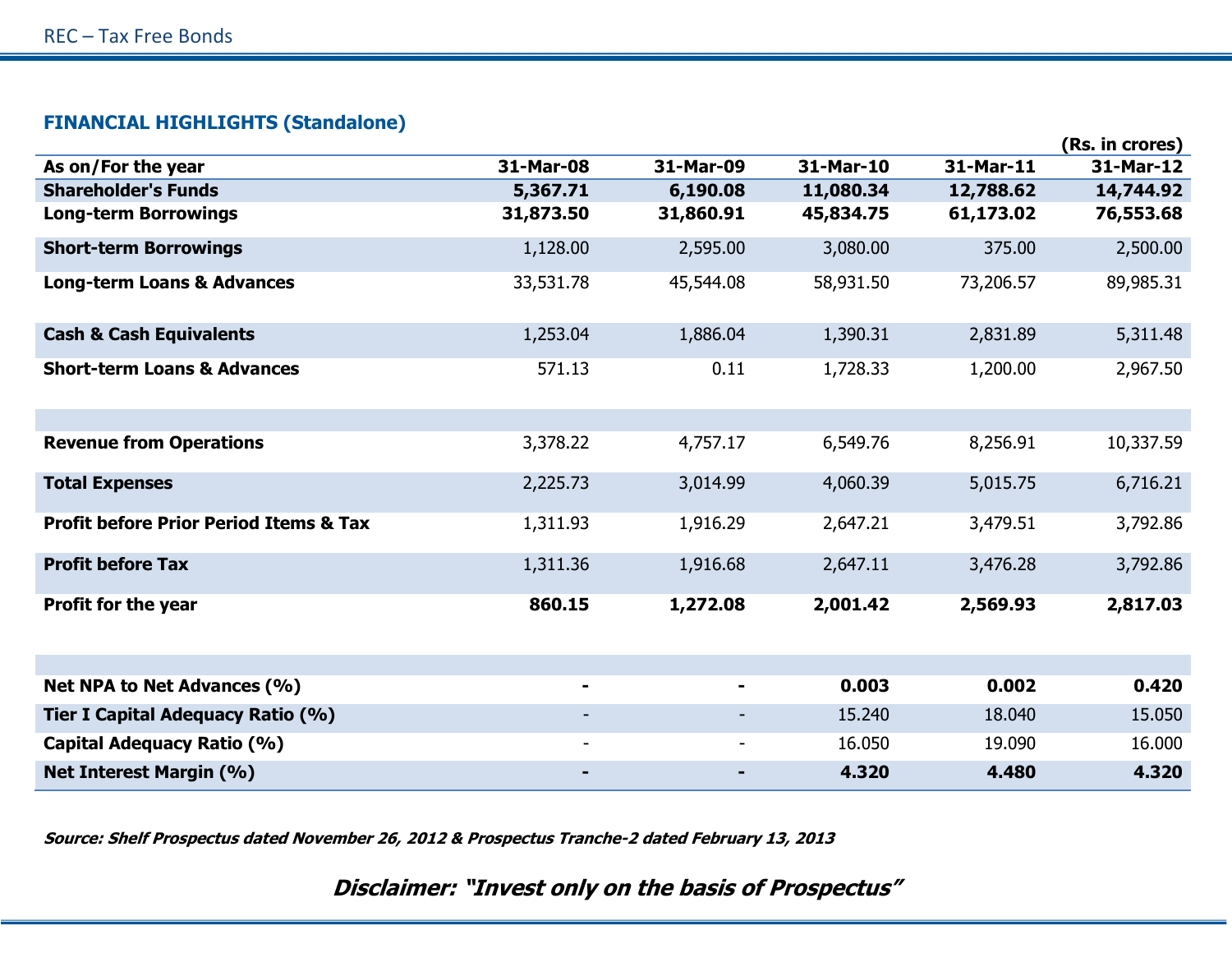## **FINANCIAL HIGHLIGHTS (Standalone)**

|                                                   |                          |           |           |           | (Rs. in crores) |
|---------------------------------------------------|--------------------------|-----------|-----------|-----------|-----------------|
| As on/For the year                                | 31-Mar-08                | 31-Mar-09 | 31-Mar-10 | 31-Mar-11 | 31-Mar-12       |
| <b>Shareholder's Funds</b>                        | 5,367.71                 | 6,190.08  | 11,080.34 | 12,788.62 | 14,744.92       |
| <b>Long-term Borrowings</b>                       | 31,873.50                | 31,860.91 | 45,834.75 | 61,173.02 | 76,553.68       |
| <b>Short-term Borrowings</b>                      | 1,128.00                 | 2,595.00  | 3,080.00  | 375.00    | 2,500.00        |
| <b>Long-term Loans &amp; Advances</b>             | 33,531.78                | 45,544.08 | 58,931.50 | 73,206.57 | 89,985.31       |
| <b>Cash &amp; Cash Equivalents</b>                | 1,253.04                 | 1,886.04  | 1,390.31  | 2,831.89  | 5,311.48        |
| <b>Short-term Loans &amp; Advances</b>            | 571.13                   | 0.11      | 1,728.33  | 1,200.00  | 2,967.50        |
|                                                   |                          |           |           |           |                 |
| <b>Revenue from Operations</b>                    | 3,378.22                 | 4,757.17  | 6,549.76  | 8,256.91  | 10,337.59       |
| <b>Total Expenses</b>                             | 2,225.73                 | 3,014.99  | 4,060.39  | 5,015.75  | 6,716.21        |
| <b>Profit before Prior Period Items &amp; Tax</b> | 1,311.93                 | 1,916.29  | 2,647.21  | 3,479.51  | 3,792.86        |
| <b>Profit before Tax</b>                          | 1,311.36                 | 1,916.68  | 2,647.11  | 3,476.28  | 3,792.86        |
| <b>Profit for the year</b>                        | 860.15                   | 1,272.08  | 2,001.42  | 2,569.93  | 2,817.03        |
|                                                   |                          |           |           |           |                 |
| Net NPA to Net Advances (%)                       | ۰                        |           | 0.003     | 0.002     | 0.420           |
| Tier I Capital Adequacy Ratio (%)                 |                          |           | 15.240    | 18.040    | 15.050          |
| Capital Adequacy Ratio (%)                        | $\overline{\phantom{a}}$ |           | 16.050    | 19.090    | 16.000          |
| <b>Net Interest Margin (%)</b>                    |                          |           | 4.320     | 4.480     | 4.320           |

**Source: Shelf Prospectus dated November 26, 2012 & Prospectus Tranche-2 dated February 13, 2013**

**Disclaimer: "Invest only on the basis of Prospectus"**